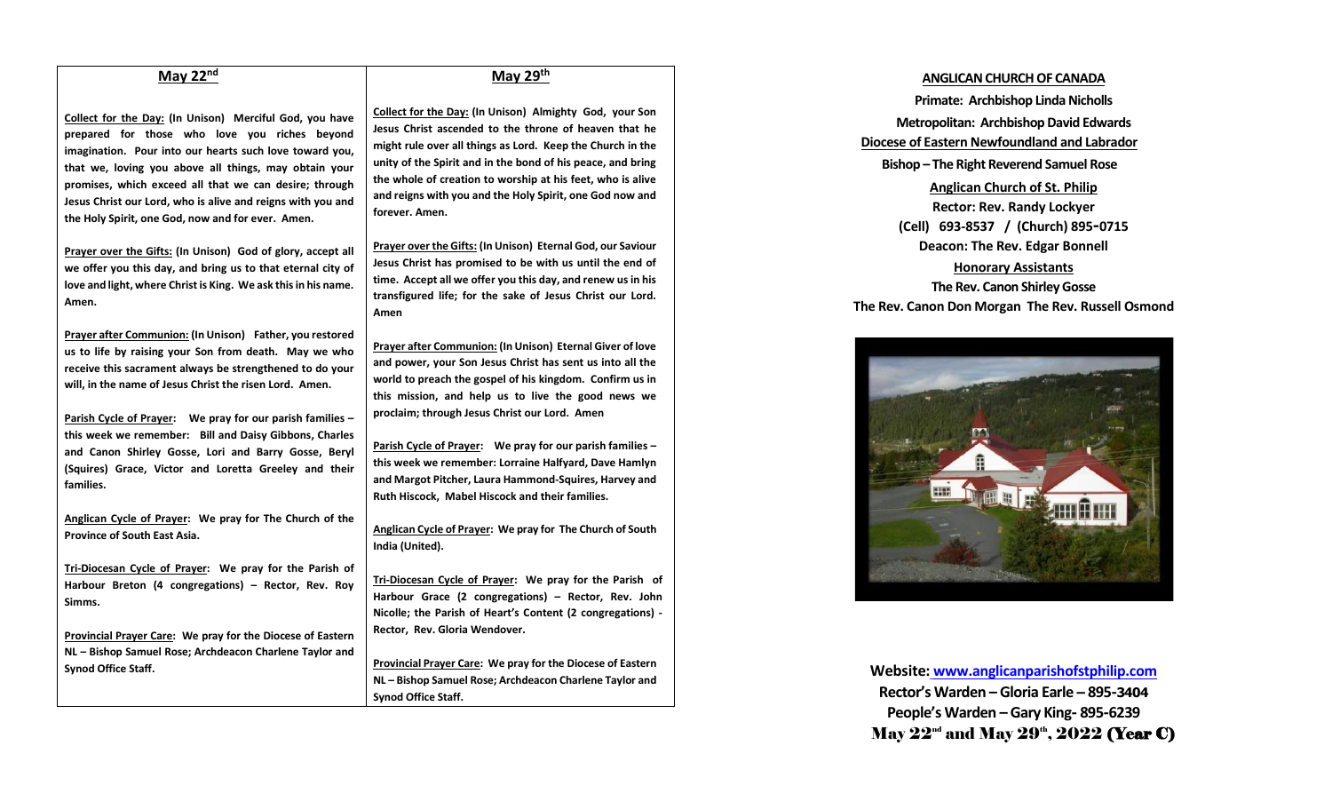# **May 22nd**

**Collect for the Day: (In Unison) Merciful God, you have prepared for those who love you riches beyond imagination. Pour into our hearts such love toward you, that we, loving you above all things, may obtain your promises, which exceed all that we can desire; through Jesus Christ our Lord, who is alive and reigns with you and the Holy Spirit, one God, now and for ever. Amen.**

**Prayer over the Gifts: (In Unison) God of glory, accept all we offer you this day, and bring us to that eternal city of love and light, where Christ is King. We ask this in his name. Amen.**

**Prayer after Communion: (In Unison) Father, you restored us to life by raising your Son from death. May we who receive this sacrament always be strengthened to do your will, in the name of Jesus Christ the risen Lord. Amen.**

**Parish Cycle of Prayer: We pray for our parish families – this week we remember: Bill and Daisy Gibbons, Charles and Canon Shirley Gosse, Lori and Barry Gosse, Beryl (Squires) Grace, Victor and Loretta Greeley and their families.**

**Anglican Cycle of Prayer: We pray for The Church of the Province of South East Asia.**

**Tri-Diocesan Cycle of Prayer: We pray for the Parish of Harbour Breton (4 congregations) – Rector, Rev. Roy Simms.** 

**Provincial Prayer Care: We pray for the Diocese of Eastern NL – Bishop Samuel Rose; Archdeacon Charlene Taylor and Synod Office Staff.**

## **May 29th**

**Collect for the Day: (In Unison) Almighty God, your Son Jesus Christ ascended to the throne of heaven that he might rule over all things as Lord. Keep the Church in the unity of the Spirit and in the bond of his peace, and bring the whole of creation to worship at his feet, who is alive and reigns with you and the Holy Spirit, one God now and forever. Amen.**

**Prayer over the Gifts: (In Unison) Eternal God, our Saviour Jesus Christ has promised to be with us until the end of time. Accept all we offer you this day, and renew us in his transfigured life; for the sake of Jesus Christ our Lord. Amen**

**Prayer after Communion: (In Unison) Eternal Giver of love and power, your Son Jesus Christ has sent us into all the world to preach the gospel of his kingdom. Confirm us in this mission, and help us to live the good news we proclaim; through Jesus Christ our Lord. Amen**

**Parish Cycle of Prayer: We pray for our parish families – this week we remember: Lorraine Halfyard, Dave Hamlyn and Margot Pitcher, Laura Hammond-Squires, Harvey and Ruth Hiscock, Mabel Hiscock and their families.**

**Anglican Cycle of Prayer: We pray for The Church of South India (United).**

**Tri-Diocesan Cycle of Prayer: We pray for the Parish of Harbour Grace (2 congregations) – Rector, Rev. John Nicolle; the Parish of Heart's Content (2 congregations) - Rector, Rev. Gloria Wendover.**

**Provincial Prayer Care: We pray for the Diocese of Eastern NL – Bishop Samuel Rose; Archdeacon Charlene Taylor and Synod Office Staff.**

### **ANGLICAN CHURCH OF CANADA**

**Primate: Archbishop Linda Nicholls Metropolitan: Archbishop David Edwards Diocese of Eastern Newfoundland and Labrador Bishop – The Right Reverend Samuel Rose Anglican Church of St. Philip Rector: Rev. Randy Lockyer (Cell) 693-8537 / (Church) 895-0715 Deacon: The Rev. Edgar Bonnell Honorary Assistants The Rev. Canon Shirley Gosse The Rev. Canon Don Morgan The Rev. Russell Osmond**



**Website: [www.anglicanparishofstphilip.com](http://www.anglicanparishofstphilip.com/) Rector's Warden – Gloria Earle – 895-3404 People's Warden – Gary King- 895-6239** May  $22^{\textrm{\tiny{nd}}}$  and May  $29^{\textrm{\tiny{th}}}, 2022$  (Year C)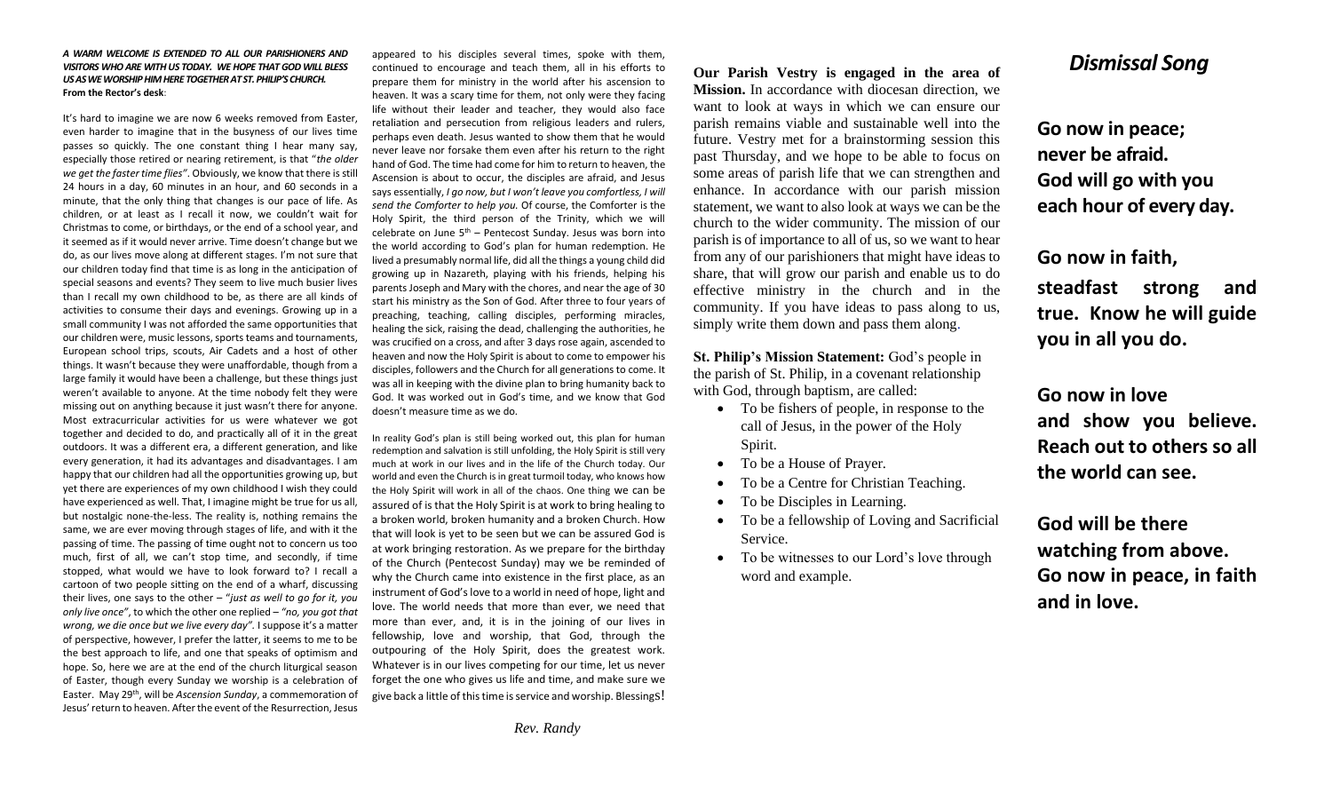*A WARM WELCOME IS EXTENDED TO ALL OUR PARISHIONERS AND VISITORS WHO ARE WITH US TODAY. WE HOPE THAT GOD WILL BLESS US AS WE WORSHIP HIM HERE TOGETHER AT ST. PHILIP'S CHURCH.* **From the Rector's desk**:

It's hard to imagine we are now 6 weeks removed from Easter, even harder to imagine that in the busyness of our lives time passes so quickly. The one constant thing I hear many say, especially those retired or nearing retirement, is that "*the older we get the faster time flies"*. Obviously, we know that there is still 24 hours in a day, 60 minutes in an hour, and 60 seconds in a minute, that the only thing that changes is our pace of life. As children, or at least as I recall it now, we couldn't wait for Christmas to come, or birthdays, or the end of a school year, and it seemed as if it would never arrive. Time doesn't change but we do, as our lives move along at different stages. I'm not sure that our children today find that time is as long in the anticipation of special seasons and events? They seem to live much busier lives than I recall my own childhood to be, as there are all kinds of activities to consume their days and evenings. Growing up in a small community I was not afforded the same opportunities that our children were, music lessons, sports teams and tournaments, European school trips, scouts, Air Cadets and a host of other things. It wasn't because they were unaffordable, though from a large family it would have been a challenge, but these things just weren't available to anyone. At the time nobody felt they were missing out on anything because it just wasn't there for anyone. Most extracurricular activities for us were whatever we got together and decided to do, and practically all of it in the great outdoors. It was a different era, a different generation, and like every generation, it had its advantages and disadvantages. I am happy that our children had all the opportunities growing up, but yet there are experiences of my own childhood I wish they could have experienced as well. That, I imagine might be true for us all, but nostalgic none-the-less. The reality is, nothing remains the same, we are ever moving through stages of life, and with it the passing of time. The passing of time ought not to concern us too much, first of all, we can't stop time, and secondly, if time stopped, what would we have to look forward to? I recall a cartoon of two people sitting on the end of a wharf, discussing their lives, one says to the other – "*just as well to go for it, you only live once"*, to which the other one replied – *"no, you got that wrong, we die once but we live every day".* I suppose it's a matter of perspective, however, I prefer the latter, it seems to me to be the best approach to life, and one that speaks of optimism and hope. So, here we are at the end of the church liturgical season of Easter, though every Sunday we worship is a celebration of Easter. May 29th, will be *Ascension Sunday*, a commemoration of Jesus' return to heaven. After the event of the Resurrection, Jesus

appeared to his disciples several times, spoke with them, continued to encourage and teach them, all in his efforts to prepare them for ministry in the world after his ascension to heaven. It was a scary time for them, not only were they facing life without their leader and teacher, they would also face retaliation and persecution from religious leaders and rulers, perhaps even death. Jesus wanted to show them that he would never leave nor forsake them even after his return to the right hand of God. The time had come for him to return to heaven, the Ascension is about to occur, the disciples are afraid, and Jesus says essentially, *I go now, but I won't leave you comfortless, I will send the Comforter to help you.* Of course, the Comforter is the Holy Spirit, the third person of the Trinity, which we will celebrate on June  $5<sup>th</sup>$  – Pentecost Sunday. Jesus was born into the world according to God's plan for human redemption. He lived a presumably normal life, did all the things a young child did growing up in Nazareth, playing with his friends, helping his parents Joseph and Mary with the chores, and near the age of 30 start his ministry as the Son of God. After three to four years of preaching, teaching, calling disciples, performing miracles, healing the sick, raising the dead, challenging the authorities, he was crucified on a cross, and after 3 days rose again, ascended to heaven and now the Holy Spirit is about to come to empower his disciples, followers and the Church for all generations to come. It was all in keeping with the divine plan to bring humanity back to God. It was worked out in God's time, and we know that God doesn't measure time as we do.

In reality God's plan is still being worked out, this plan for human redemption and salvation is still unfolding, the Holy Spirit is still very much at work in our lives and in the life of the Church today. Our world and even the Church is in great turmoil today, who knows how the Holy Spirit will work in all of the chaos. One thing we can be assured of is that the Holy Spirit is at work to bring healing to a broken world, broken humanity and a broken Church. How that will look is yet to be seen but we can be assured God is at work bringing restoration. As we prepare for the birthday of the Church (Pentecost Sunday) may we be reminded of why the Church came into existence in the first place, as an instrument of God's love to a world in need of hope, light and love. The world needs that more than ever, we need that more than ever, and, it is in the joining of our lives in fellowship, love and worship, that God, through the outpouring of the Holy Spirit, does the greatest work. Whatever is in our lives competing for our time, let us never forget the one who gives us life and time, and make sure we give back a little of this time is service and worship. Blessings!

**Our Parish Vestry is engaged in the area of Mission.** In accordance with diocesan direction, we want to look at ways in which we can ensure our parish remains viable and sustainable well into the future. Vestry met for a brainstorming session this past Thursday, and we hope to be able to focus on some areas of parish life that we can strengthen and enhance. In accordance with our parish mission statement, we want to also look at ways we can be the church to the wider community. The mission of our parish is of importance to all of us, so we want to hear from any of our parishioners that might have ideas to share, that will grow our parish and enable us to do effective ministry in the church and in the community. If you have ideas to pass along to us, simply write them down and pass them along.

**St. Philip's Mission Statement:** God's people in the parish of St. Philip, in a covenant relationship with God, through baptism, are called:

- To be fishers of people, in response to the call of Jesus, in the power of the Holy Spirit.
- To be a House of Prayer.
- To be a Centre for Christian Teaching.
- To be Disciples in Learning.
- To be a fellowship of Loving and Sacrificial Service.
- To be witnesses to our Lord's love through word and example.

# *Dismissal Song*

**Go now in peace; never be afraid. God will go with you each hour of every day.**

**Go now in faith, steadfast strong and true. Know he will guide you in all you do.**

**Go now in love and show you believe. Reach out to others so all** 

**the world can see.**

**God will be there watching from above. Go now in peace, in faith and in love.**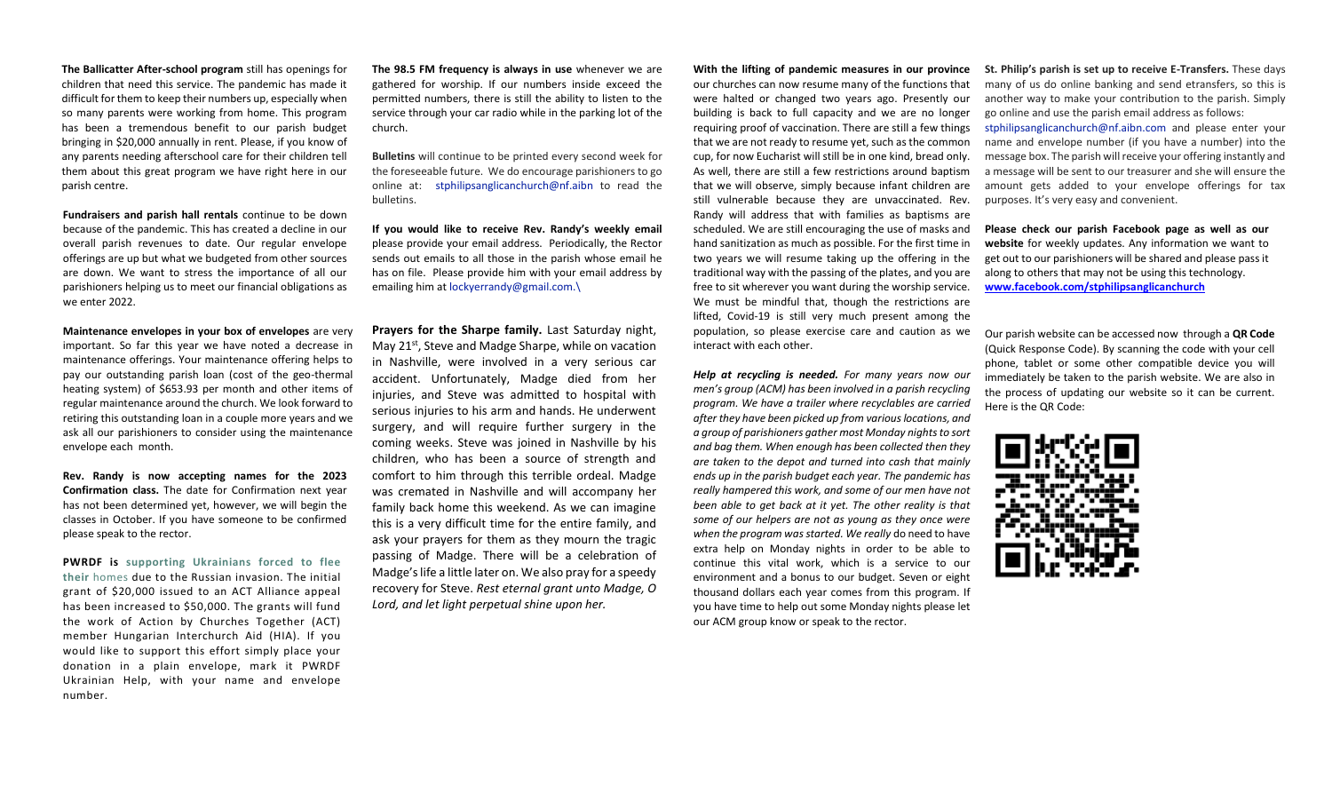**The Ballicatter After-school program** still has openings for children that need this service. The pandemic has made it difficult for them to keep their numbers up, especially when so many parents were working from home. This program has been a tremendous benefit to our parish budget bringing in \$20,000 annually in rent. Please, if you know of any parents needing afterschool care for their children tell them about this great program we have right here in our parish centre.

**Fundraisers and parish hall rentals** continue to be down because of the pandemic. This has created a decline in our overall parish revenues to date. Our regular envelope offerings are up but what we budgeted from other sources are down. We want to stress the importance of all our parishioners helping us to meet our financial obligations as we enter 2022.

**Maintenance envelopes in your box of envelopes** are very important. So far this year we have noted a decrease in maintenance offerings. Your maintenance offering helps to pay our outstanding parish loan (cost of the geo-thermal heating system) of \$653.93 per month and other items of regular maintenance around the church. We look forward to retiring this outstanding loan in a couple more years and we ask all our parishioners to consider using the maintenance envelope each month.

**Rev. Randy is now accepting names for the 2023 Confirmation class.** The date for Confirmation next year has not been determined yet, however, we will begin the classes in October. If you have someone to be confirmed please speak to the rector.

**PWRDF is supporting Ukrainians forced to flee their** homes due to the Russian invasion. The initial grant of \$20,000 issued to an ACT Alliance appeal has been increased to \$50,000. The grants will fund the work of Action by Churches Together (ACT) member Hungarian Interchurch Aid (HIA). If you would like to support this effort simply place your donation in a plain envelope, mark it PWRDF Ukrainian Help, with your name and envelope number.

**The 98.5 FM frequency is always in use** whenever we are gathered for worship. If our numbers inside exceed the permitted numbers, there is still the ability to listen to the service through your car radio while in the parking lot of the church.

**Bulletins** will continue to be printed every second week for the foreseeable future. We do encourage parishioners to go online at: [stphilipsanglicanchurch@nf.aibn](mailto:stphilipsanglicanchurch@nf.aibn) to read the bulletins.

**If you would like to receive Rev. Randy's weekly email**  please provide your email address. Periodically, the Rector sends out emails to all those in the parish whose email he has on file. Please provide him with your email address by emailing him a[t lockyerrandy@gmail.com.\](mailto:lockyerrandy@gmail.com./)

**Prayers for the Sharpe family.** Last Saturday night, May  $21^{st}$ , Steve and Madge Sharpe, while on vacation in Nashville, were involved in a very serious car accident. Unfortunately, Madge died from her injuries, and Steve was admitted to hospital with serious injuries to his arm and hands. He underwent surgery, and will require further surgery in the coming weeks. Steve was joined in Nashville by his children, who has been a source of strength and comfort to him through this terrible ordeal. Madge was cremated in Nashville and will accompany her family back home this weekend. As we can imagine this is a very difficult time for the entire family, and ask your prayers for them as they mourn the tragic passing of Madge. There will be a celebration of Madge's life a little later on. We also pray for a speedy recovery for Steve. *Rest eternal grant unto Madge, O Lord, and let light perpetual shine upon her.*

our churches can now resume many of the functions that were halted or changed two years ago. Presently our building is back to full capacity and we are no longer requiring proof of vaccination. There are still a few things that we are not ready to resume yet, such as the common cup, for now Eucharist will still be in one kind, bread only. As well, there are still a few restrictions around baptism that we will observe, simply because infant children are still vulnerable because they are unvaccinated. Rev. Randy will address that with families as baptisms are scheduled. We are still encouraging the use of masks and hand sanitization as much as possible. For the first time in two years we will resume taking up the offering in the traditional way with the passing of the plates, and you are free to sit wherever you want during the worship service. We must be mindful that, though the restrictions are lifted, Covid-19 is still very much present among the population, so please exercise care and caution as we interact with each other.

*Help at recycling is needed. For many years now our men's group (ACM) has been involved in a parish recycling program. We have a trailer where recyclables are carried after they have been picked up from various locations, and a group of parishioners gather most Monday nights to sort and bag them. When enough has been collected then they are taken to the depot and turned into cash that mainly ends up in the parish budget each year. The pandemic has really hampered this work, and some of our men have not been able to get back at it yet. The other reality is that some of our helpers are not as young as they once were when the program was started. We really* do need to have extra help on Monday nights in order to be able to continue this vital work, which is a service to our environment and a bonus to our budget. Seven or eight thousand dollars each year comes from this program. If you have time to help out some Monday nights please let our ACM group know or speak to the rector.

**With the lifting of pandemic measures in our province St. Philip's parish is set up to receive E-Transfers.** These days many of us do online banking and send etransfers, so this is another way to make your contribution to the parish. Simply go online and use the parish email address as follows: [stphilipsanglicanchurch@nf.aibn.com](mailto:stphilipsanglicanchurch@nf.aibn.com) and please enter your name and envelope number (if you have a number) into the message box. The parish will receive your offering instantly and a message will be sent to our treasurer and she will ensure the amount gets added to your envelope offerings for tax purposes. It's very easy and convenient.

> **Please check our parish Facebook page as well as our website** for weekly updates. Any information we want to get out to our parishioners will be shared and please pass it along to others that may not be using this technology. **[www.facebook.com/stphilipsanglicanchurch](http://www.facebook.com/stphilipsanglicanchurch)**

Our parish website can be accessed now through a **QR Code**  (Quick Response Code). By scanning the code with your cell phone, tablet or some other compatible device you will immediately be taken to the parish website. We are also in the process of updating our website so it can be current. Here is the QR Code: